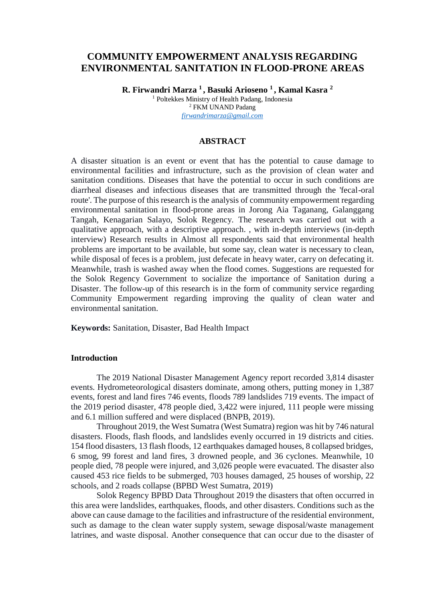# **COMMUNITY EMPOWERMENT ANALYSIS REGARDING ENVIRONMENTAL SANITATION IN FLOOD-PRONE AREAS**

**R. Firwandri Marza <sup>1</sup> , Basuki Arioseno <sup>1</sup> , Kamal Kasra <sup>2</sup>** <sup>1</sup> Poltekkes Ministry of Health Padang, Indonesia <sup>2</sup> FKM UNAND Padang *[firwandrimarza@gmail.com](mailto:firwandrimarza@gmail.com)*

#### **ABSTRACT**

A disaster situation is an event or event that has the potential to cause damage to environmental facilities and infrastructure, such as the provision of clean water and sanitation conditions. Diseases that have the potential to occur in such conditions are diarrheal diseases and infectious diseases that are transmitted through the 'fecal-oral route'. The purpose of this research is the analysis of community empowerment regarding environmental sanitation in flood-prone areas in Jorong Aia Taganang, Galanggang Tangah, Kenagarian Salayo, Solok Regency. The research was carried out with a qualitative approach, with a descriptive approach. , with in-depth interviews (in-depth interview) Research results in Almost all respondents said that environmental health problems are important to be available, but some say, clean water is necessary to clean, while disposal of feces is a problem, just defecate in heavy water, carry on defecating it. Meanwhile, trash is washed away when the flood comes. Suggestions are requested for the Solok Regency Government to socialize the importance of Sanitation during a Disaster. The follow-up of this research is in the form of community service regarding Community Empowerment regarding improving the quality of clean water and environmental sanitation.

**Keywords:** Sanitation, Disaster, Bad Health Impact

### **Introduction**

The 2019 National Disaster Management Agency report recorded 3,814 disaster events. Hydrometeorological disasters dominate, among others, putting money in 1,387 events, forest and land fires 746 events, floods 789 landslides 719 events. The impact of the 2019 period disaster, 478 people died, 3,422 were injured, 111 people were missing and 6.1 million suffered and were displaced (BNPB, 2019).

Throughout 2019, the West Sumatra (West Sumatra) region was hit by 746 natural disasters. Floods, flash floods, and landslides evenly occurred in 19 districts and cities. 154 flood disasters, 13 flash floods, 12 earthquakes damaged houses, 8 collapsed bridges, 6 smog, 99 forest and land fires, 3 drowned people, and 36 cyclones. Meanwhile, 10 people died, 78 people were injured, and 3,026 people were evacuated. The disaster also caused 453 rice fields to be submerged, 703 houses damaged, 25 houses of worship, 22 schools, and 2 roads collapse (BPBD West Sumatra, 2019)

Solok Regency BPBD Data Throughout 2019 the disasters that often occurred in this area were landslides, earthquakes, floods, and other disasters. Conditions such as the above can cause damage to the facilities and infrastructure of the residential environment, such as damage to the clean water supply system, sewage disposal/waste management latrines, and waste disposal. Another consequence that can occur due to the disaster of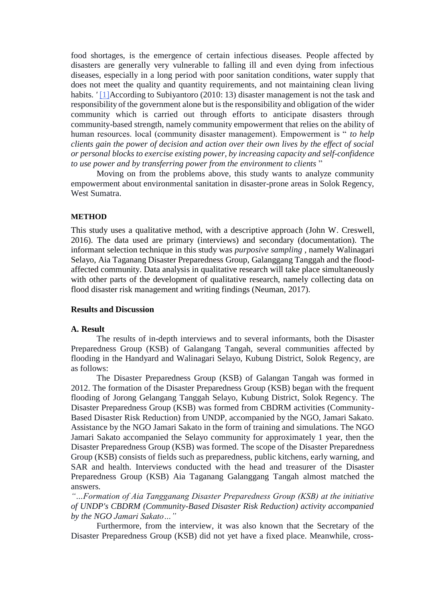food shortages, is the emergence of certain infectious diseases. People affected by disasters are generally very vulnerable to falling ill and even dying from infectious diseases, especially in a long period with poor sanitation conditions, water supply that does not meet the quality and quantity requirements, and not maintaining clean living habits. '<sup>[1]</sup>According to Subiyantoro (2010: 13) disaster management is not the task and responsibility of the government alone but is the responsibility and obligation of the wider community which is carried out through efforts to anticipate disasters through community-based strength, namely community empowerment that relies on the ability of human resources. local (community disaster management). Empowerment is " *to help clients gain the power of decision and action over their own lives by the effect of social or personal blocks to exercise existing power, by increasing capacity and self-confidence to use power and by transferring power from the environment to clients* "

Moving on from the problems above, this study wants to analyze community empowerment about environmental sanitation in disaster-prone areas in Solok Regency, West Sumatra.

#### **METHOD**

This study uses a qualitative method, with a descriptive approach (John W. Creswell, 2016). The data used are primary (interviews) and secondary (documentation). The informant selection technique in this study was *purposive sampling* , namely Walinagari Selayo, Aia Taganang Disaster Preparedness Group, Galanggang Tanggah and the floodaffected community. Data analysis in qualitative research will take place simultaneously with other parts of the development of qualitative research, namely collecting data on flood disaster risk management and writing findings (Neuman, 2017).

## **Results and Discussion**

#### **A. Result**

The results of in-depth interviews and to several informants, both the Disaster Preparedness Group (KSB) of Galangang Tangah, several communities affected by flooding in the Handyard and Walinagari Selayo, Kubung District, Solok Regency, are as follows:

The Disaster Preparedness Group (KSB) of Galangan Tangah was formed in 2012. The formation of the Disaster Preparedness Group (KSB) began with the frequent flooding of Jorong Gelangang Tanggah Selayo, Kubung District, Solok Regency. The Disaster Preparedness Group (KSB) was formed from CBDRM activities (Community-Based Disaster Risk Reduction) from UNDP, accompanied by the NGO, Jamari Sakato. Assistance by the NGO Jamari Sakato in the form of training and simulations. The NGO Jamari Sakato accompanied the Selayo community for approximately 1 year, then the Disaster Preparedness Group (KSB) was formed. The scope of the Disaster Preparedness Group (KSB) consists of fields such as preparedness, public kitchens, early warning, and SAR and health. Interviews conducted with the head and treasurer of the Disaster Preparedness Group (KSB) Aia Taganang Galanggang Tangah almost matched the answers.

*"…Formation of Aia Tangganang Disaster Preparedness Group (KSB) at the initiative of UNDP's CBDRM (Community-Based Disaster Risk Reduction) activity accompanied by the NGO Jamari Sakato…"*

Furthermore, from the interview, it was also known that the Secretary of the Disaster Preparedness Group (KSB) did not yet have a fixed place. Meanwhile, cross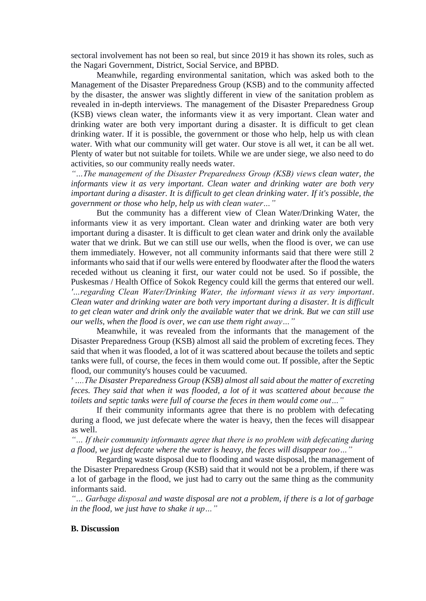sectoral involvement has not been so real, but since 2019 it has shown its roles, such as the Nagari Government, District, Social Service, and BPBD.

Meanwhile, regarding environmental sanitation, which was asked both to the Management of the Disaster Preparedness Group (KSB) and to the community affected by the disaster, the answer was slightly different in view of the sanitation problem as revealed in in-depth interviews. The management of the Disaster Preparedness Group (KSB) views clean water, the informants view it as very important. Clean water and drinking water are both very important during a disaster. It is difficult to get clean drinking water. If it is possible, the government or those who help, help us with clean water. With what our community will get water. Our stove is all wet, it can be all wet. Plenty of water but not suitable for toilets. While we are under siege, we also need to do activities, so our community really needs water.

*"…The management of the Disaster Preparedness Group (KSB) views clean water, the informants view it as very important. Clean water and drinking water are both very important during a disaster. It is difficult to get clean drinking water. If it's possible, the government or those who help, help us with clean water…"*

But the community has a different view of Clean Water/Drinking Water, the informants view it as very important. Clean water and drinking water are both very important during a disaster. It is difficult to get clean water and drink only the available water that we drink. But we can still use our wells, when the flood is over, we can use them immediately. However, not all community informants said that there were still 2 informants who said that if our wells were entered by floodwater after the flood the waters receded without us cleaning it first, our water could not be used. So if possible, the Puskesmas / Health Office of Sokok Regency could kill the germs that entered our well. *'…regarding Clean Water/Drinking Water, the informant views it as very important. Clean water and drinking water are both very important during a disaster. It is difficult to get clean water and drink only the available water that we drink. But we can still use our wells, when the flood is over, we can use them right away…"*

Meanwhile, it was revealed from the informants that the management of the Disaster Preparedness Group (KSB) almost all said the problem of excreting feces. They said that when it was flooded, a lot of it was scattered about because the toilets and septic tanks were full, of course, the feces in them would come out. If possible, after the Septic flood, our community's houses could be vacuumed.

*' ….The Disaster Preparedness Group (KSB) almost allsaid about the matter of excreting feces. They said that when it was flooded, a lot of it was scattered about because the toilets and septic tanks were full of course the feces in them would come out…"*

If their community informants agree that there is no problem with defecating during a flood, we just defecate where the water is heavy, then the feces will disappear as well.

*"… If their community informants agree that there is no problem with defecating during a flood, we just defecate where the water is heavy, the feces will disappear too…"*

Regarding waste disposal due to flooding and waste disposal, the management of the Disaster Preparedness Group (KSB) said that it would not be a problem, if there was a lot of garbage in the flood, we just had to carry out the same thing as the community informants said.

*"… Garbage disposal and waste disposal are not a problem, if there is a lot of garbage in the flood, we just have to shake it up…"*

#### **B. Discussion**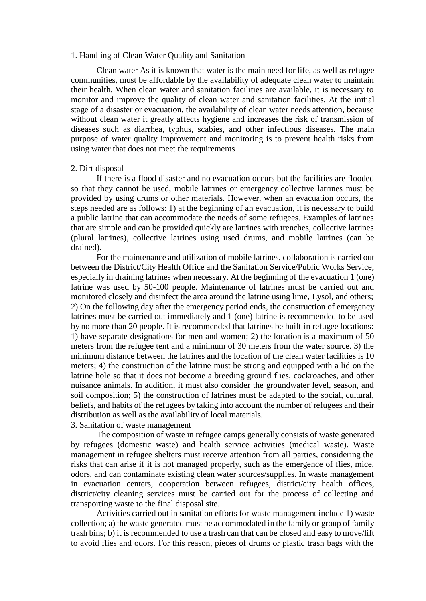#### 1. Handling of Clean Water Quality and Sanitation

Clean water As it is known that water is the main need for life, as well as refugee communities, must be affordable by the availability of adequate clean water to maintain their health. When clean water and sanitation facilities are available, it is necessary to monitor and improve the quality of clean water and sanitation facilities. At the initial stage of a disaster or evacuation, the availability of clean water needs attention, because without clean water it greatly affects hygiene and increases the risk of transmission of diseases such as diarrhea, typhus, scabies, and other infectious diseases. The main purpose of water quality improvement and monitoring is to prevent health risks from using water that does not meet the requirements

### 2. Dirt disposal

If there is a flood disaster and no evacuation occurs but the facilities are flooded so that they cannot be used, mobile latrines or emergency collective latrines must be provided by using drums or other materials. However, when an evacuation occurs, the steps needed are as follows: 1) at the beginning of an evacuation, it is necessary to build a public latrine that can accommodate the needs of some refugees. Examples of latrines that are simple and can be provided quickly are latrines with trenches, collective latrines (plural latrines), collective latrines using used drums, and mobile latrines (can be drained).

For the maintenance and utilization of mobile latrines, collaboration is carried out between the District/City Health Office and the Sanitation Service/Public Works Service, especially in draining latrines when necessary. At the beginning of the evacuation 1 (one) latrine was used by 50-100 people. Maintenance of latrines must be carried out and monitored closely and disinfect the area around the latrine using lime, Lysol, and others; 2) On the following day after the emergency period ends, the construction of emergency latrines must be carried out immediately and 1 (one) latrine is recommended to be used by no more than 20 people. It is recommended that latrines be built-in refugee locations: 1) have separate designations for men and women; 2) the location is a maximum of 50 meters from the refugee tent and a minimum of 30 meters from the water source. 3) the minimum distance between the latrines and the location of the clean water facilities is 10 meters; 4) the construction of the latrine must be strong and equipped with a lid on the latrine hole so that it does not become a breeding ground flies, cockroaches, and other nuisance animals. In addition, it must also consider the groundwater level, season, and soil composition; 5) the construction of latrines must be adapted to the social, cultural, beliefs, and habits of the refugees by taking into account the number of refugees and their distribution as well as the availability of local materials.

## 3. Sanitation of waste management

The composition of waste in refugee camps generally consists of waste generated by refugees (domestic waste) and health service activities (medical waste). Waste management in refugee shelters must receive attention from all parties, considering the risks that can arise if it is not managed properly, such as the emergence of flies, mice, odors, and can contaminate existing clean water sources/supplies. In waste management in evacuation centers, cooperation between refugees, district/city health offices, district/city cleaning services must be carried out for the process of collecting and transporting waste to the final disposal site.

Activities carried out in sanitation efforts for waste management include 1) waste collection; a) the waste generated must be accommodated in the family or group of family trash bins; b) it is recommended to use a trash can that can be closed and easy to move/lift to avoid flies and odors. For this reason, pieces of drums or plastic trash bags with the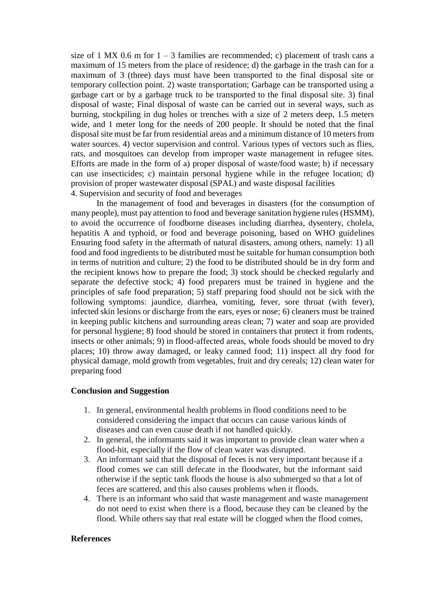size of 1 MX 0.6 m for  $1 - 3$  families are recommended; c) placement of trash cans a maximum of 15 meters from the place of residence; d) the garbage in the trash can for a maximum of 3 (three) days must have been transported to the final disposal site or temporary collection point. 2) waste transportation; Garbage can be transported using a garbage cart or by a garbage truck to be transported to the final disposal site. 3) final disposal of waste; Final disposal of waste can be carried out in several ways, such as burning, stockpiling in dug holes or trenches with a size of 2 meters deep, 1.5 meters wide, and 1 meter long for the needs of 200 people. It should be noted that the final disposal site must be far from residential areas and a minimum distance of 10 meters from water sources. 4) vector supervision and control. Various types of vectors such as flies, rats, and mosquitoes can develop from improper waste management in refugee sites. Efforts are made in the form of a) proper disposal of waste/food waste; b) if necessary can use insecticides; c) maintain personal hygiene while in the refugee location; d) provision of proper wastewater disposal (SPAL) and waste disposal facilities 4. Supervision and security of food and beverages

In the management of food and beverages in disasters (for the consumption of many people), must pay attention to food and beverage sanitation hygiene rules (HSMM), to avoid the occurrence of foodborne diseases including diarrhea, dysentery, cholela, hepatitis A and typhoid, or food and beverage poisoning, based on WHO guidelines Ensuring food safety in the aftermath of natural disasters, among others, namely: 1) all food and food ingredients to be distributed must be suitable for human consumption both in terms of nutrition and culture; 2) the food to be distributed should be in dry form and the recipient knows how to prepare the food; 3) stock should be checked regularly and separate the defective stock; 4) food preparers must be trained in hygiene and the principles of safe food preparation; 5) staff preparing food should not be sick with the following symptoms: jaundice, diarrhea, vomiting, fever, sore throat (with fever), infected skin lesions or discharge from the ears, eyes or nose; 6) cleaners must be trained in keeping public kitchens and surrounding areas clean; 7) water and soap are provided for personal hygiene; 8) food should be stored in containers that protect it from rodents, insects or other animals; 9) in flood-affected areas, whole foods should be moved to dry places; 10) throw away damaged, or leaky canned food; 11) inspect all dry food for physical damage, mold growth from vegetables, fruit and dry cereals; 12) clean water for preparing food

## **Conclusion and Suggestion**

- 1. In general, environmental health problems in flood conditions need to be considered considering the impact that occurs can cause various kinds of diseases and can even cause death if not handled quickly.
- 2. In general, the informants said it was important to provide clean water when a flood-hit, especially if the flow of clean water was disrupted.
- 3. An informant said that the disposal of feces is not very important because if a flood comes we can still defecate in the floodwater, but the informant said otherwise if the septic tank floods the house is also submerged so that a lot of feces are scattered, and this also causes problems when it floods.
- 4. There is an informant who said that waste management and waste management do not need to exist when there is a flood, because they can be cleaned by the flood. While others say that real estate will be clogged when the flood comes,

### **References**